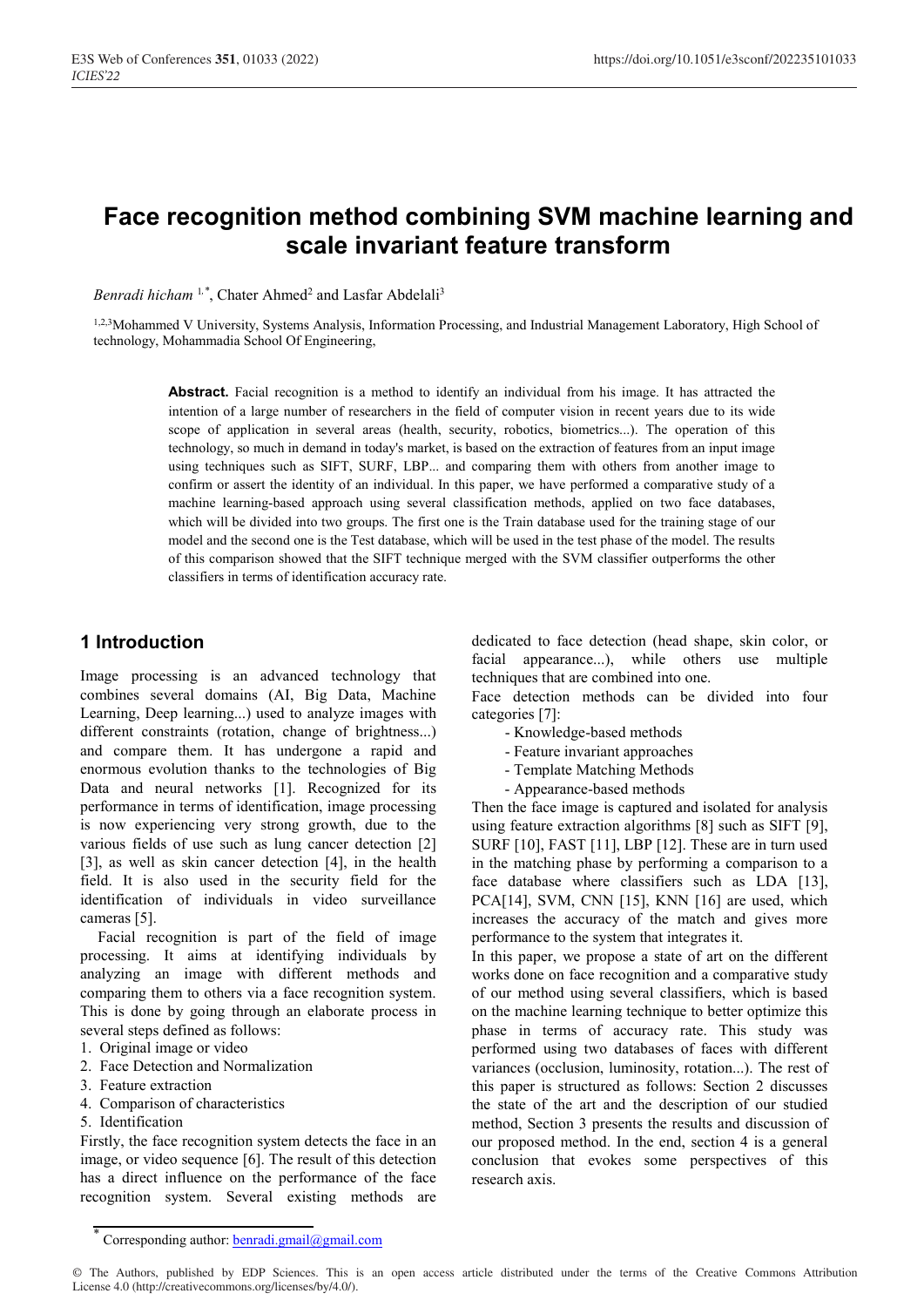# **Face recognition method combining SVM machine learning and scale invariant feature transform**

*Benradi hicham*<sup>1,\*</sup>, Chater Ahmed<sup>2</sup> and Lasfar Abdelali<sup>3</sup>

1,2,3Mohammed V University, Systems Analysis, Information Processing, and Industrial Management Laboratory, High School of technology, Mohammadia School Of Engineering,

> Abstract. Facial recognition is a method to identify an individual from his image. It has attracted the intention of a large number of researchers in the field of computer vision in recent years due to its wide scope of application in several areas (health, security, robotics, biometrics...). The operation of this technology, so much in demand in today's market, is based on the extraction of features from an input image using techniques such as SIFT, SURF, LBP... and comparing them with others from another image to confirm or assert the identity of an individual. In this paper, we have performed a comparative study of a machine learning-based approach using several classification methods, applied on two face databases, which will be divided into two groups. The first one is the Train database used for the training stage of our model and the second one is the Test database, which will be used in the test phase of the model. The results of this comparison showed that the SIFT technique merged with the SVM classifier outperforms the other classifiers in terms of identification accuracy rate.

## **1 Introduction**

Image processing is an advanced technology that combines several domains (AI, Big Data, Machine Learning, Deep learning...) used to analyze images with different constraints (rotation, change of brightness...) and compare them. It has undergone a rapid and enormous evolution thanks to the technologies of Big Data and neural networks [1]. Recognized for its performance in terms of identification, image processing is now experiencing very strong growth, due to the various fields of use such as lung cancer detection [2] [3], as well as skin cancer detection [4], in the health field. It is also used in the security field for the identification of individuals in video surveillance cameras [5].

Facial recognition is part of the field of image processing. It aims at identifying individuals by analyzing an image with different methods and comparing them to others via a face recognition system. This is done by going through an elaborate process in several steps defined as follows:

- 1. Original image or video
- 2. Face Detection and Normalization
- 3. Feature extraction
- 4. Comparison of characteristics
- 5. Identification

Firstly, the face recognition system detects the face in an image, or video sequence [6]. The result of this detection has a direct influence on the performance of the face recognition system. Several existing methods are dedicated to face detection (head shape, skin color, or facial appearance...), while others use multiple techniques that are combined into one.

Face detection methods can be divided into four categories [7]:

- Knowledge-based methods
- Feature invariant approaches
- Template Matching Methods
- Appearance-based methods

Then the face image is captured and isolated for analysis using feature extraction algorithms [8] such as SIFT [9], SURF [10], FAST [11], LBP [12]. These are in turn used in the matching phase by performing a comparison to a face database where classifiers such as LDA [13], PCA[14], SVM, CNN [15], KNN [16] are used, which increases the accuracy of the match and gives more performance to the system that integrates it.

In this paper, we propose a state of art on the different works done on face recognition and a comparative study of our method using several classifiers, which is based on the machine learning technique to better optimize this phase in terms of accuracy rate. This study was performed using two databases of faces with different variances (occlusion, luminosity, rotation...). The rest of this paper is structured as follows: Section 2 discusses the state of the art and the description of our studied method, Section 3 presents the results and discussion of our proposed method. In the end, section 4 is a general conclusion that evokes some perspectives of this research axis.

Corresponding author: **benradi.gmail@gmail.com**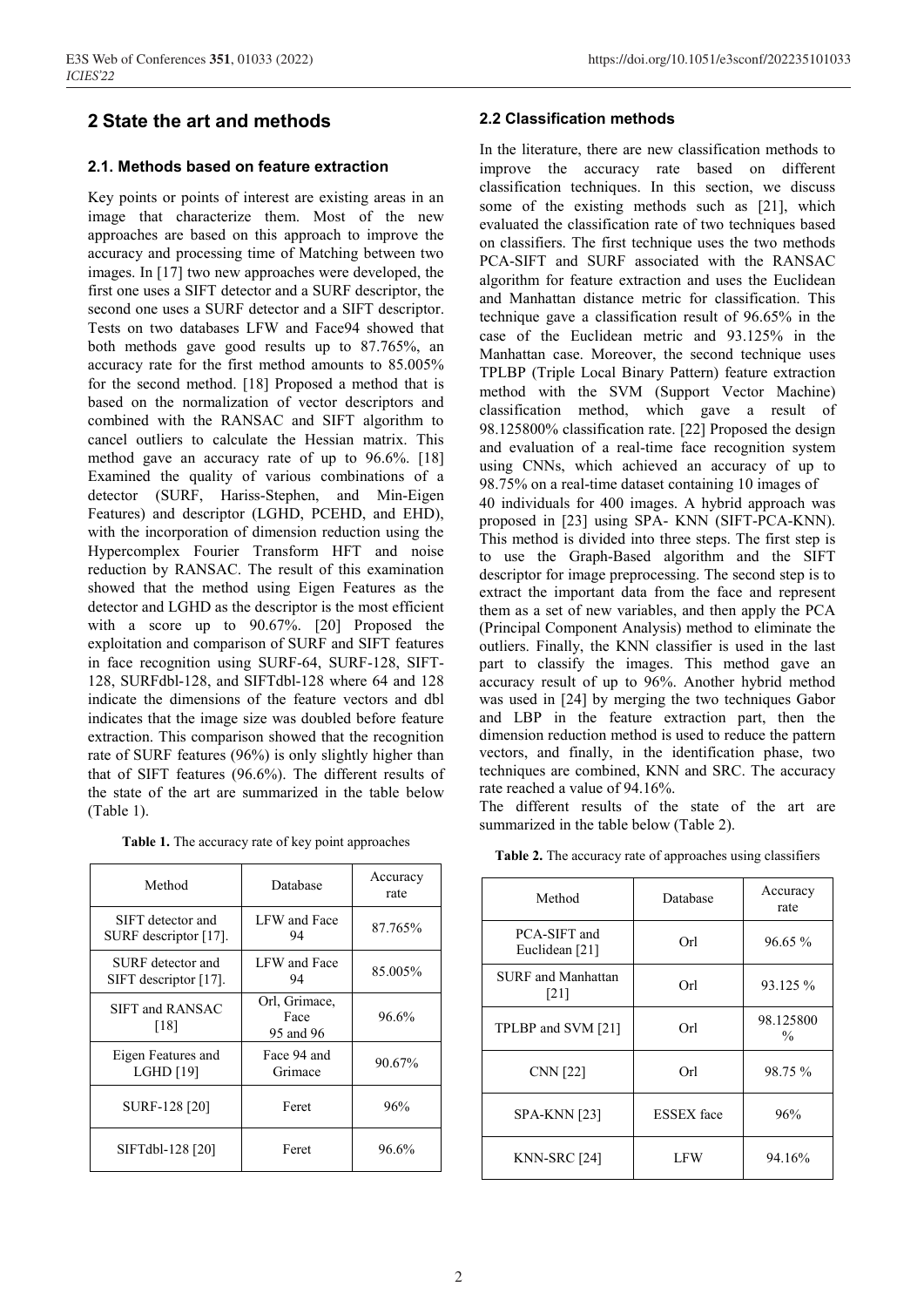## **2 State the art and methods**

## **2.1. Methods based on feature extraction**

Key points or points of interest are existing areas in an image that characterize them. Most of the new approaches are based on this approach to improve the accuracy and processing time of Matching between two images. In [17] two new approaches were developed, the first one uses a SIFT detector and a SURF descriptor, the second one uses a SURF detector and a SIFT descriptor. Tests on two databases LFW and Face94 showed that both methods gave good results up to 87.765%, an accuracy rate for the first method amounts to 85.005% for the second method. [18] Proposed a method that is based on the normalization of vector descriptors and combined with the RANSAC and SIFT algorithm to cancel outliers to calculate the Hessian matrix. This method gave an accuracy rate of up to 96.6%. [18] Examined the quality of various combinations of a detector (SURF, Hariss-Stephen, and Min-Eigen Features) and descriptor (LGHD, PCEHD, and EHD), with the incorporation of dimension reduction using the Hypercomplex Fourier Transform HFT and noise reduction by RANSAC. The result of this examination showed that the method using Eigen Features as the detector and LGHD as the descriptor is the most efficient with a score up to 90.67%. [20] Proposed the exploitation and comparison of SURF and SIFT features in face recognition using SURF-64, SURF-128, SIFT-128, SURFdbl-128, and SIFTdbl-128 where 64 and 128 indicate the dimensions of the feature vectors and dbl indicates that the image size was doubled before feature extraction. This comparison showed that the recognition rate of SURF features (96%) is only slightly higher than that of SIFT features (96.6%). The different results of the state of the art are summarized in the table below (Table 1).

**Table 1.** The accuracy rate of key point approaches

| Method                                        | Database                           | Accuracy<br>rate |
|-----------------------------------------------|------------------------------------|------------------|
| SIFT detector and<br>SURF descriptor $[17]$ . | LFW and Face<br>94                 | 87.765%          |
| SURF detector and<br>SIFT descriptor $[17]$ . | LFW and Face<br>94                 | 85.005%          |
| <b>SIFT and RANSAC</b><br>[18]                | Orl, Grimace,<br>Face<br>95 and 96 | 96.6%            |
| Eigen Features and<br>LGHD [19]               | Face 94 and<br>Grimace             | 90.67%           |
| SURF-128 [20]                                 | Feret                              | 96%              |
| SIFTdbl-128 [20]                              | Feret                              | 96.6%            |

## **2.2 Classification methods**

In the literature, there are new classification methods to improve the accuracy rate based on different classification techniques. In this section, we discuss some of the existing methods such as [21], which evaluated the classification rate of two techniques based on classifiers. The first technique uses the two methods PCA-SIFT and SURF associated with the RANSAC algorithm for feature extraction and uses the Euclidean and Manhattan distance metric for classification. This technique gave a classification result of 96.65% in the case of the Euclidean metric and 93.125% in the Manhattan case. Moreover, the second technique uses TPLBP (Triple Local Binary Pattern) feature extraction method with the SVM (Support Vector Machine) classification method, which gave a result of 98.125800% classification rate. [22] Proposed the design and evaluation of a real-time face recognition system using CNNs, which achieved an accuracy of up to 98.75% on a real-time dataset containing 10 images of 40 individuals for 400 images. A hybrid approach was proposed in [23] using SPA- KNN (SIFT-PCA-KNN). This method is divided into three steps. The first step is to use the Graph-Based algorithm and the SIFT descriptor for image preprocessing. The second step is to extract the important data from the face and represent them as a set of new variables, and then apply the PCA (Principal Component Analysis) method to eliminate the outliers. Finally, the KNN classifier is used in the last part to classify the images. This method gave an accuracy result of up to 96%. Another hybrid method was used in [24] by merging the two techniques Gabor and LBP in the feature extraction part, then the dimension reduction method is used to reduce the pattern vectors, and finally, in the identification phase, two techniques are combined, KNN and SRC. The accuracy

The different results of the state of the art are summarized in the table below (Table 2).

rate reached a value of 94.16%.

|  |  |  | <b>Table 2.</b> The accuracy rate of approaches using classifiers |  |
|--|--|--|-------------------------------------------------------------------|--|
|  |  |  |                                                                   |  |

| Method                            | Database          | Accuracy<br>rate           |
|-----------------------------------|-------------------|----------------------------|
| PCA-SIFT and<br>Euclidean [21]    | Orl               | $96.65\%$                  |
| <b>SURF</b> and Manhattan<br>[21] | Orl               | 93.125 %                   |
| TPLBP and SVM [21]                | Orl               | 98.125800<br>$\frac{0}{0}$ |
| <b>CNN</b> [22]                   | Orl               | 98.75 %                    |
| <b>SPA-KNN</b> [23]               | <b>ESSEX</b> face | 96%                        |
| KNN-SRC [24]                      | LFW               | 94.16%                     |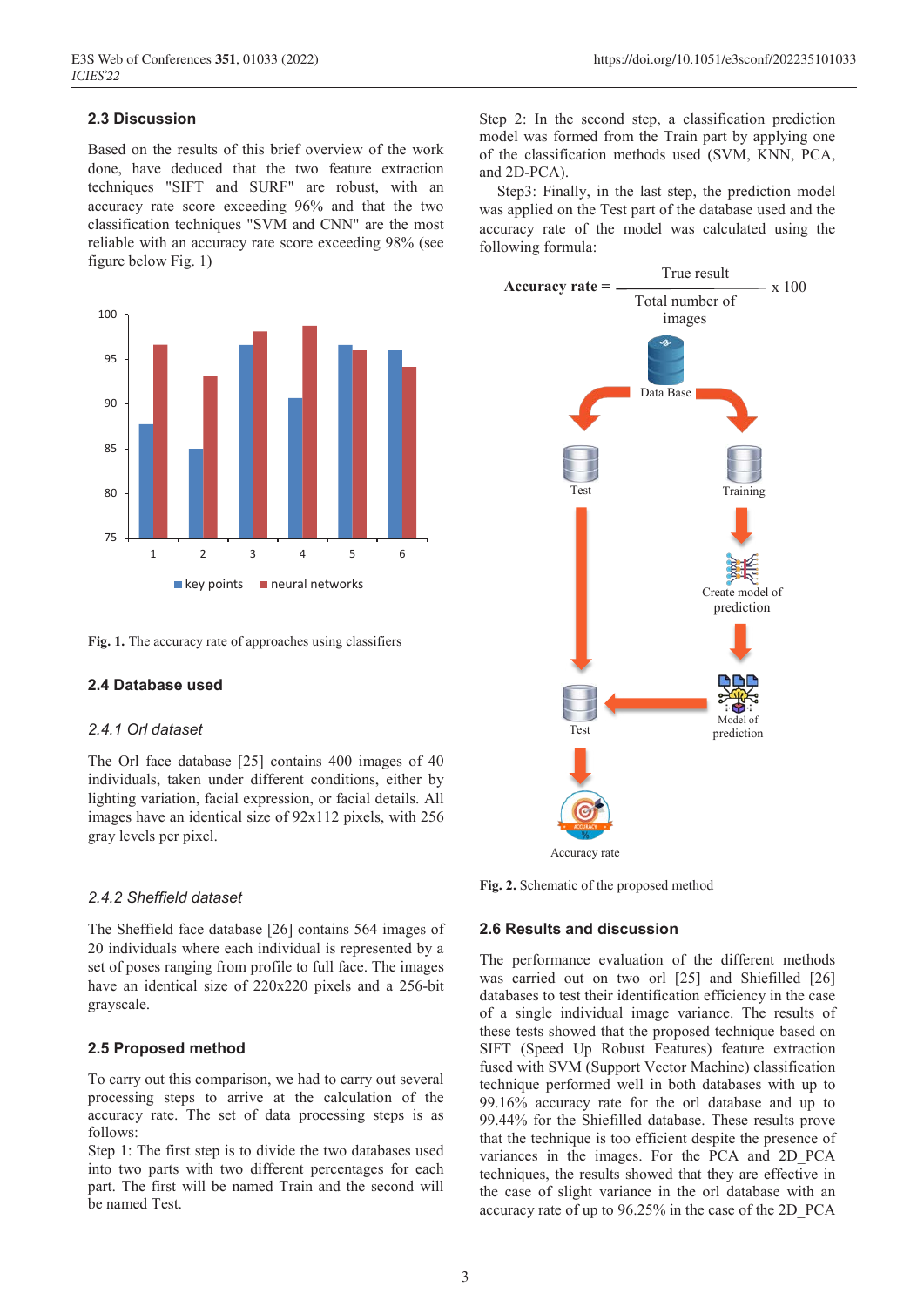## **2.3 Discussion**

Based on the results of this brief overview of the work done, have deduced that the two feature extraction techniques "SIFT and SURF" are robust, with an accuracy rate score exceeding 96% and that the two classification techniques "SVM and CNN" are the most reliable with an accuracy rate score exceeding 98% (see figure below Fig. 1)



**Fig. 1.** The accuracy rate of approaches using classifiers

## **2.4 Database used**

#### *2.4.1 Orl dataset*

The Orl face database [25] contains 400 images of 40 individuals, taken under different conditions, either by lighting variation, facial expression, or facial details. All images have an identical size of 92x112 pixels, with 256 gray levels per pixel.

#### *2.4.2 Sheffield dataset*

The Sheffield face database [26] contains 564 images of 20 individuals where each individual is represented by a set of poses ranging from profile to full face. The images have an identical size of 220x220 pixels and a 256-bit grayscale.

#### **2.5 Proposed method**

To carry out this comparison, we had to carry out several processing steps to arrive at the calculation of the accuracy rate. The set of data processing steps is as follows:

Step 1: The first step is to divide the two databases used into two parts with two different percentages for each part. The first will be named Train and the second will be named Test.

Step 2: In the second step, a classification prediction model was formed from the Train part by applying one of the classification methods used (SVM, KNN, PCA, and 2D-PCA).

Step3: Finally, in the last step, the prediction model was applied on the Test part of the database used and the accuracy rate of the model was calculated using the following formula:



**Fig. 2.** Schematic of the proposed method

#### **2.6 Results and discussion**

The performance evaluation of the different methods was carried out on two orl [25] and Shiefilled [26] databases to test their identification efficiency in the case of a single individual image variance. The results of these tests showed that the proposed technique based on SIFT (Speed Up Robust Features) feature extraction fused with SVM (Support Vector Machine) classification technique performed well in both databases with up to 99.16% accuracy rate for the orl database and up to 99.44% for the Shiefilled database. These results prove that the technique is too efficient despite the presence of variances in the images. For the PCA and 2D\_PCA techniques, the results showed that they are effective in the case of slight variance in the orl database with an accuracy rate of up to 96.25% in the case of the 2D\_PCA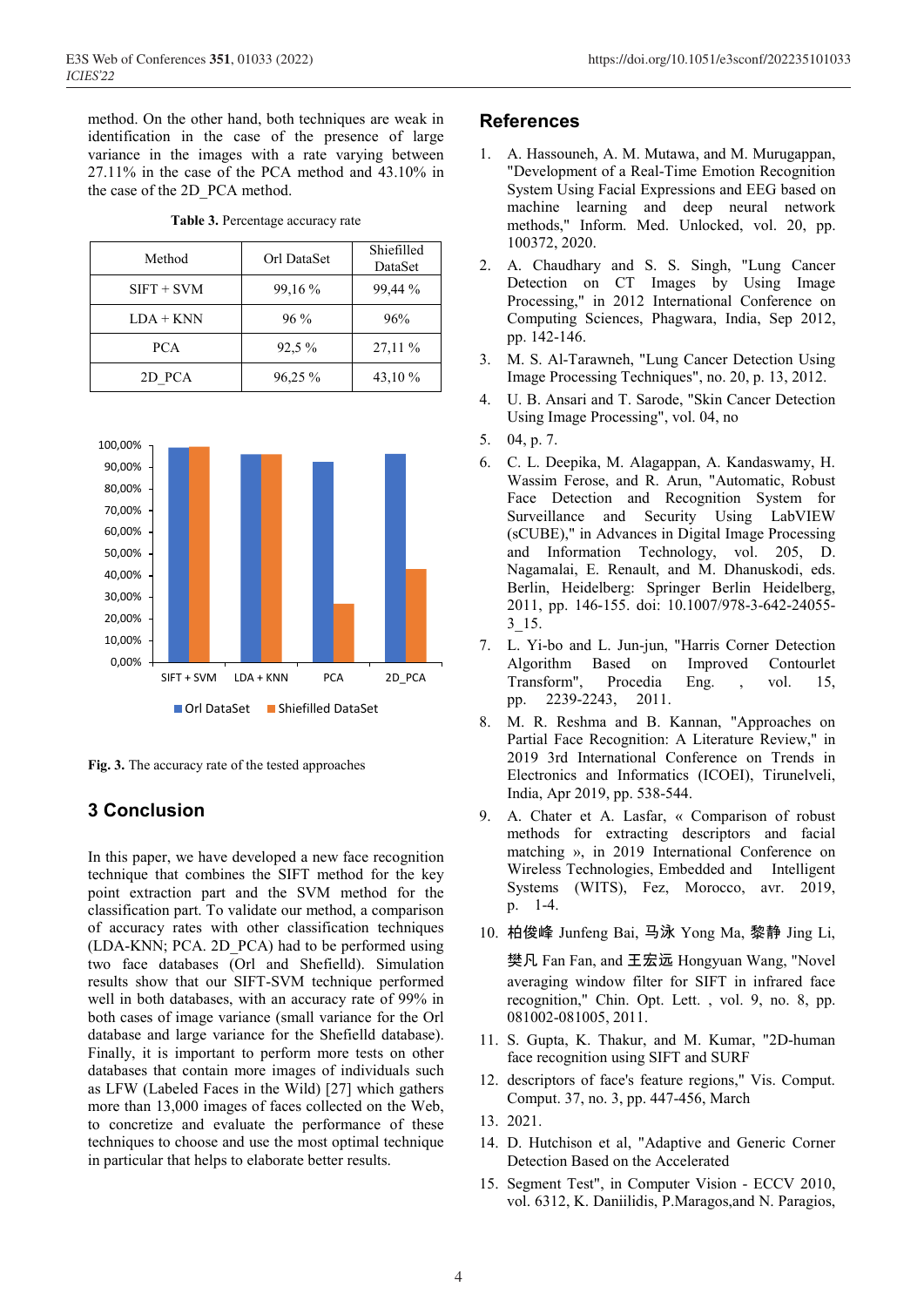method. On the other hand, both techniques are weak in identification in the case of the presence of large variance in the images with a rate varying between 27.11% in the case of the PCA method and 43.10% in the case of the 2D\_PCA method.

| Method       | Orl DataSet | Shiefilled<br>DataSet |
|--------------|-------------|-----------------------|
| $SIFT + SVM$ | 99,16 %     | 99,44 %               |
| $LDA + KNN$  | $96\%$      | 96%                   |
| <b>PCA</b>   | $92.5\%$    | 27,11 %               |
| 2D PCA       | 96,25 %     | 43,10 %               |

**Table 3.** Percentage accuracy rate



**Fig. 3.** The accuracy rate of the tested approaches

## **3 Conclusion**

In this paper, we have developed a new face recognition technique that combines the SIFT method for the key point extraction part and the SVM method for the classification part. To validate our method, a comparison of accuracy rates with other classification techniques (LDA-KNN; PCA. 2D\_PCA) had to be performed using two face databases (Orl and Shefielld). Simulation results show that our SIFT-SVM technique performed well in both databases, with an accuracy rate of 99% in both cases of image variance (small variance for the Orl database and large variance for the Shefielld database). Finally, it is important to perform more tests on other databases that contain more images of individuals such as LFW (Labeled Faces in the Wild) [27] which gathers more than 13,000 images of faces collected on the Web, to concretize and evaluate the performance of these techniques to choose and use the most optimal technique in particular that helps to elaborate better results.

## **References**

- 1. A. Hassouneh, A. M. Mutawa, and M. Murugappan, "Development of a Real-Time Emotion Recognition System Using Facial Expressions and EEG based on machine learning and deep neural network methods," Inform. Med. Unlocked, vol. 20, pp. 100372, 2020.
- 2. A. Chaudhary and S. S. Singh, "Lung Cancer Detection on CT Images by Using Image Processing," in 2012 International Conference on Computing Sciences, Phagwara, India, Sep 2012, pp. 142-146.
- 3. M. S. Al-Tarawneh, "Lung Cancer Detection Using Image Processing Techniques", no. 20, p. 13, 2012.
- 4. U. B. Ansari and T. Sarode, "Skin Cancer Detection Using Image Processing", vol. 04, no
- 5. 04, p. 7.
- 6. C. L. Deepika, M. Alagappan, A. Kandaswamy, H. Wassim Ferose, and R. Arun, "Automatic, Robust Face Detection and Recognition System for Surveillance and Security Using LabVIEW (sCUBE)," in Advances in Digital Image Processing and Information Technology, vol. 205, D. Nagamalai, E. Renault, and M. Dhanuskodi, eds. Berlin, Heidelberg: Springer Berlin Heidelberg, 2011, pp. 146-155. doi: 10.1007/978-3-642-24055-  $3 - 15$ .
- 7. L. Yi-bo and L. Jun-jun, "Harris Corner Detection Algorithm Based on Improved Contourlet Transform", Procedia Eng. , vol. 15, pp. 2239-2243, 2011.
- 8. M. R. Reshma and B. Kannan, "Approaches on Partial Face Recognition: A Literature Review," in 2019 3rd International Conference on Trends in Electronics and Informatics (ICOEI), Tirunelveli, India, Apr 2019, pp. 538-544.
- 9. A. Chater et A. Lasfar, « Comparison of robust methods for extracting descriptors and facial matching », in 2019 International Conference on Wireless Technologies, Embedded and Intelligent Systems (WITS), Fez, Morocco, avr. 2019, p. 1‑4.
- 10. 柏俊峰 Junfeng Bai, 马泳 Yong Ma, 黎静 Jing Li,

樊凡 Fan Fan, and 王宏远 Hongyuan Wang, "Novel averaging window filter for SIFT in infrared face recognition," Chin. Opt. Lett. , vol. 9, no. 8, pp. 081002-081005, 2011.

- 11. S. Gupta, K. Thakur, and M. Kumar, "2D-human face recognition using SIFT and SURF
- 12. descriptors of face's feature regions," Vis. Comput. Comput. 37, no. 3, pp. 447-456, March
- 13. 2021.
- 14. D. Hutchison et al, "Adaptive and Generic Corner Detection Based on the Accelerated
- 15. Segment Test", in Computer Vision ECCV 2010, vol. 6312, K. Daniilidis, P.Maragos,and N. Paragios,